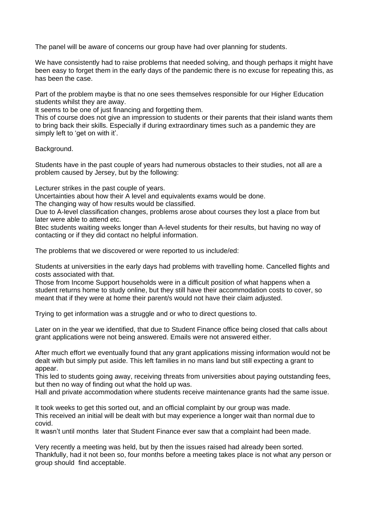The panel will be aware of concerns our group have had over planning for students.

We have consistently had to raise problems that needed solving, and though perhaps it might have been easy to forget them in the early days of the pandemic there is no excuse for repeating this, as has been the case.

Part of the problem maybe is that no one sees themselves responsible for our Higher Education students whilst they are away.

It seems to be one of just financing and forgetting them.

This of course does not give an impression to students or their parents that their island wants them to bring back their skills. Especially if during extraordinary times such as a pandemic they are simply left to 'get on with it'.

Background.

Students have in the past couple of years had numerous obstacles to their studies, not all are a problem caused by Jersey, but by the following:

Lecturer strikes in the past couple of years.

Uncertainties about how their A level and equivalents exams would be done.

The changing way of how results would be classified.

Due to A-level classification changes, problems arose about courses they lost a place from but later were able to attend etc.

Btec students waiting weeks longer than A-level students for their results, but having no way of contacting or if they did contact no helpful information.

The problems that we discovered or were reported to us include/ed:

Students at universities in the early days had problems with travelling home. Cancelled flights and costs associated with that.

Those from Income Support households were in a difficult position of what happens when a student returns home to study online, but they still have their accommodation costs to cover, so meant that if they were at home their parent/s would not have their claim adjusted.

Trying to get information was a struggle and or who to direct questions to.

Later on in the year we identified, that due to Student Finance office being closed that calls about grant applications were not being answered. Emails were not answered either.

After much effort we eventually found that any grant applications missing information would not be dealt with but simply put aside. This left families in no mans land but still expecting a grant to appear.

This led to students going away, receiving threats from universities about paying outstanding fees, but then no way of finding out what the hold up was.

Hall and private accommodation where students receive maintenance grants had the same issue.

It took weeks to get this sorted out, and an official complaint by our group was made. This received an initial will be dealt with but may experience a longer wait than normal due to covid.

It wasn't until months later that Student Finance ever saw that a complaint had been made.

Very recently a meeting was held, but by then the issues raised had already been sorted. Thankfully, had it not been so, four months before a meeting takes place is not what any person or group should find acceptable.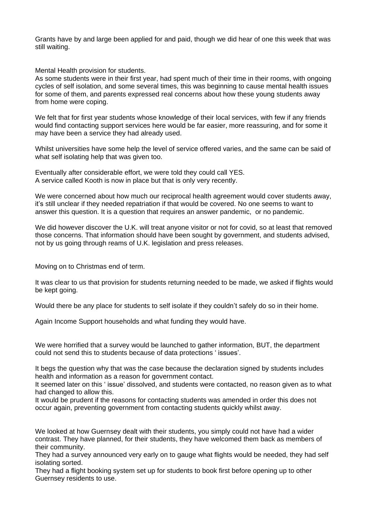Grants have by and large been applied for and paid, though we did hear of one this week that was still waiting.

Mental Health provision for students.

As some students were in their first year, had spent much of their time in their rooms, with ongoing cycles of self isolation, and some several times, this was beginning to cause mental health issues for some of them, and parents expressed real concerns about how these young students away from home were coping.

We felt that for first year students whose knowledge of their local services, with few if any friends would find contacting support services here would be far easier, more reassuring, and for some it may have been a service they had already used.

Whilst universities have some help the level of service offered varies, and the same can be said of what self isolating help that was given too.

Eventually after considerable effort, we were told they could call YES. A service called Kooth is now in place but that is only very recently.

We were concerned about how much our reciprocal health agreement would cover students away, it's still unclear if they needed repatriation if that would be covered. No one seems to want to answer this question. It is a question that requires an answer pandemic, or no pandemic.

We did however discover the U.K. will treat anyone visitor or not for covid, so at least that removed those concerns. That information should have been sought by government, and students advised, not by us going through reams of U.K. legislation and press releases.

Moving on to Christmas end of term.

It was clear to us that provision for students returning needed to be made, we asked if flights would be kept going.

Would there be any place for students to self isolate if they couldn't safely do so in their home.

Again Income Support households and what funding they would have.

We were horrified that a survey would be launched to gather information. BUT, the department could not send this to students because of data protections ' issues'.

It begs the question why that was the case because the declaration signed by students includes health and information as a reason for government contact.

It seemed later on this ' issue' dissolved, and students were contacted, no reason given as to what had changed to allow this.

It would be prudent if the reasons for contacting students was amended in order this does not occur again, preventing government from contacting students quickly whilst away.

We looked at how Guernsey dealt with their students, you simply could not have had a wider contrast. They have planned, for their students, they have welcomed them back as members of their community.

They had a survey announced very early on to gauge what flights would be needed, they had self isolating sorted.

They had a flight booking system set up for students to book first before opening up to other Guernsey residents to use.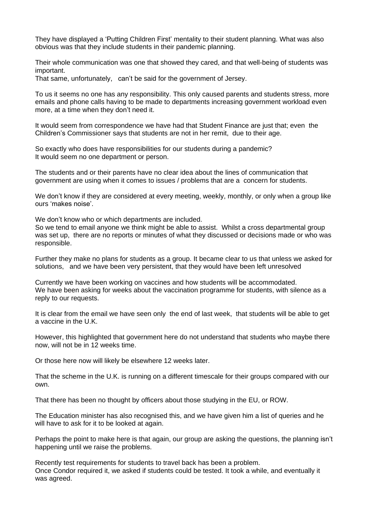They have displayed a 'Putting Children First' mentality to their student planning. What was also obvious was that they include students in their pandemic planning.

Their whole communication was one that showed they cared, and that well-being of students was important.

That same, unfortunately, can't be said for the government of Jersey.

To us it seems no one has any responsibility. This only caused parents and students stress, more emails and phone calls having to be made to departments increasing government workload even more, at a time when they don't need it.

It would seem from correspondence we have had that Student Finance are just that; even the Children's Commissioner says that students are not in her remit, due to their age.

So exactly who does have responsibilities for our students during a pandemic? It would seem no one department or person.

The students and or their parents have no clear idea about the lines of communication that government are using when it comes to issues / problems that are a concern for students.

We don't know if they are considered at every meeting, weekly, monthly, or only when a group like ours 'makes noise'.

We don't know who or which departments are included.

So we tend to email anyone we think might be able to assist. Whilst a cross departmental group was set up, there are no reports or minutes of what they discussed or decisions made or who was responsible.

Further they make no plans for students as a group. It became clear to us that unless we asked for solutions, and we have been very persistent, that they would have been left unresolved

Currently we have been working on vaccines and how students will be accommodated. We have been asking for weeks about the vaccination programme for students, with silence as a reply to our requests.

It is clear from the email we have seen only the end of last week, that students will be able to get a vaccine in the U.K.

However, this highlighted that government here do not understand that students who maybe there now, will not be in 12 weeks time.

Or those here now will likely be elsewhere 12 weeks later.

That the scheme in the U.K. is running on a different timescale for their groups compared with our own.

That there has been no thought by officers about those studying in the EU, or ROW.

The Education minister has also recognised this, and we have given him a list of queries and he will have to ask for it to be looked at again.

Perhaps the point to make here is that again, our group are asking the questions, the planning isn't happening until we raise the problems.

Recently test requirements for students to travel back has been a problem. Once Condor required it, we asked if students could be tested. It took a while, and eventually it was agreed.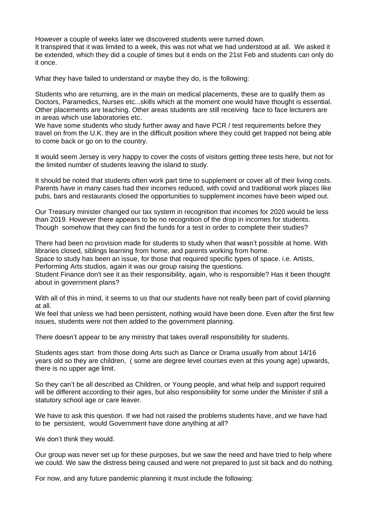However a couple of weeks later we discovered students were turned down. It transpired that it was limited to a week, this was not what we had understood at all. We asked it be extended, which they did a couple of times but it ends on the 21st Feb and students can only do it once.

What they have failed to understand or maybe they do, is the following:

Students who are returning, are in the main on medical placements, these are to qualify them as Doctors, Paramedics, Nurses etc...skills which at the moment one would have thought is essential. Other placements are teaching. Other areas students are still receiving face to face lecturers are in areas which use laboratories etc.

We have some students who study further away and have PCR / test requirements before they travel on from the U.K. they are in the difficult position where they could get trapped not being able to come back or go on to the country.

It would seem Jersey is very happy to cover the costs of visitors getting three tests here, but not for the limited number of students leaving the island to study.

It should be noted that students often work part time to supplement or cover all of their living costs. Parents have in many cases had their incomes reduced, with covid and traditional work places like pubs, bars and restaurants closed the opportunities to supplement incomes have been wiped out.

Our Treasury minister changed our tax system in recognition that incomes for 2020 would be less than 2019. However there appears to be no recognition of the drop in incomes for students. Though somehow that they can find the funds for a test in order to complete their studies?

There had been no provision made for students to study when that wasn't possible at home. With libraries closed, siblings learning from home, and parents working from home.

Space to study has been an issue, for those that required specific types of space. i.e. Artists, Performing Arts studios, again it was our group raising the questions.

Student Finance don't see it as their responsibility, again, who is responsible? Has it been thought about in government plans?

With all of this in mind, it seems to us that our students have not really been part of covid planning at all.

We feel that unless we had been persistent, nothing would have been done. Even after the first few issues, students were not then added to the government planning.

There doesn't appear to be any ministry that takes overall responsibility for students.

Students ages start from those doing Arts such as Dance or Drama usually from about 14/16 years old so they are children, ( some are degree level courses even at this young age) upwards, there is no upper age limit.

So they can't be all described as Children, or Young people, and what help and support required will be different according to their ages, but also responsibility for some under the Minister if still a statutory school age or care leaver.

We have to ask this question. If we had not raised the problems students have, and we have had to be persistent, would Government have done anything at all?

We don't think they would.

Our group was never set up for these purposes, but we saw the need and have tried to help where we could. We saw the distress being caused and were not prepared to just sit back and do nothing.

For now, and any future pandemic planning it must include the following: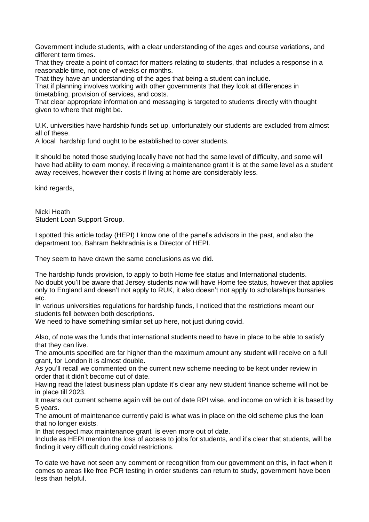Government include students, with a clear understanding of the ages and course variations, and different term times.

That they create a point of contact for matters relating to students, that includes a response in a reasonable time, not one of weeks or months.

That they have an understanding of the ages that being a student can include.

That if planning involves working with other governments that they look at differences in timetabling, provision of services, and costs.

That clear appropriate information and messaging is targeted to students directly with thought given to where that might be.

U.K. universities have hardship funds set up, unfortunately our students are excluded from almost all of these.

A local hardship fund ought to be established to cover students.

It should be noted those studying locally have not had the same level of difficulty, and some will have had ability to earn money, if receiving a maintenance grant it is at the same level as a student away receives, however their costs if living at home are considerably less.

kind regards,

Nicki Heath Student Loan Support Group.

I spotted this article today (HEPI) I know one of the panel's advisors in the past, and also the department too, Bahram Bekhradnia is a Director of HEPI.

They seem to have drawn the same conclusions as we did.

The hardship funds provision, to apply to both Home fee status and International students. No doubt you'll be aware that Jersey students now will have Home fee status, however that applies only to England and doesn't not apply to RUK, it also doesn't not apply to scholarships bursaries etc.

In various universities regulations for hardship funds, I noticed that the restrictions meant our students fell between both descriptions.

We need to have something similar set up here, not just during covid.

Also, of note was the funds that international students need to have in place to be able to satisfy that they can live.

The amounts specified are far higher than the maximum amount any student will receive on a full grant, for London it is almost double.

As you'll recall we commented on the current new scheme needing to be kept under review in order that it didn't become out of date.

Having read the latest business plan update it's clear any new student finance scheme will not be in place till 2023.

It means out current scheme again will be out of date RPI wise, and income on which it is based by 5 years.

The amount of maintenance currently paid is what was in place on the old scheme plus the loan that no longer exists.

In that respect max maintenance grant is even more out of date.

Include as HEPI mention the loss of access to jobs for students, and it's clear that students, will be finding it very difficult during covid restrictions.

To date we have not seen any comment or recognition from our government on this, in fact when it comes to areas like free PCR testing in order students can return to study, government have been less than helpful.